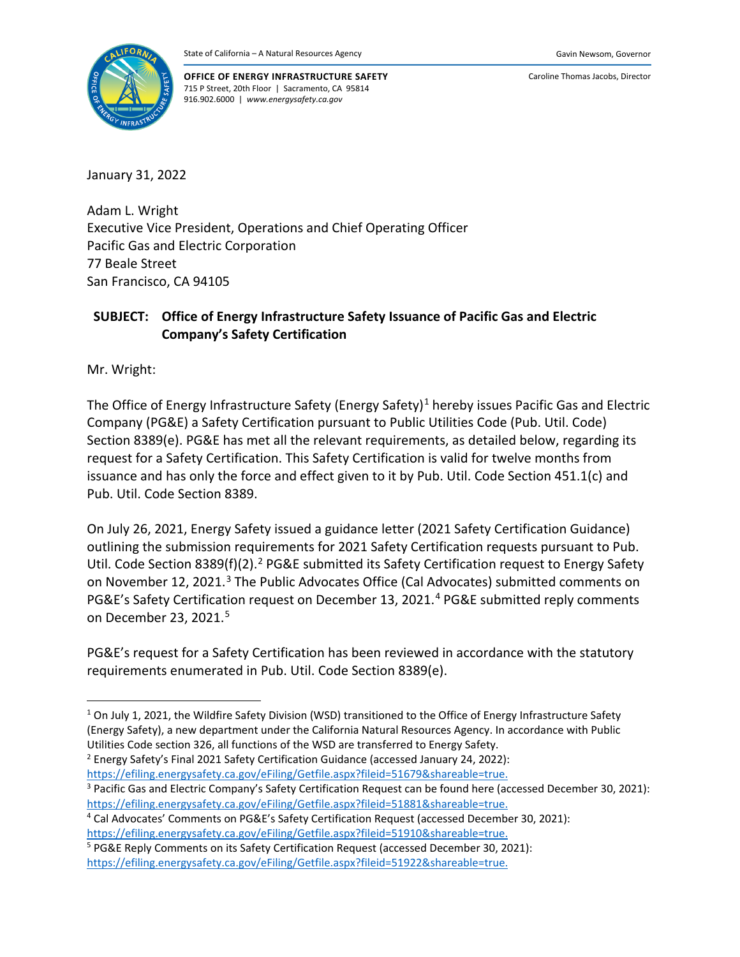

**OFFICE OF ENERGY INFRASTRUCTURE SAFETY** 715 P Street, 20th Floor | Sacramento, CA 95814 916.902.6000 | *www.energysafety.ca.gov*

Caroline Thomas Jacobs, Director

January 31, 2022

Adam L. Wright Executive Vice President, Operations and Chief Operating Officer Pacific Gas and Electric Corporation 77 Beale Street San Francisco, CA 94105

# **SUBJECT: Office of Energy Infrastructure Safety Issuance of Pacific Gas and Electric Company's Safety Certification**

Mr. Wright:

The Office of Energy Infrastructure Safety (Energy Safety)<sup>[1](#page-0-0)</sup> hereby issues Pacific Gas and Electric Company (PG&E) a Safety Certification pursuant to Public Utilities Code (Pub. Util. Code) Section 8389(e). PG&E has met all the relevant requirements, as detailed below, regarding its request for a Safety Certification. This Safety Certification is valid for twelve months from issuance and has only the force and effect given to it by Pub. Util. Code Section 451.1(c) and Pub. Util. Code Section 8389.

On July 26, 2021, Energy Safety issued a guidance letter (2021 Safety Certification Guidance) outlining the submission requirements for 2021 Safety Certification requests pursuant to Pub. Util. Code Section 8389(f)([2](#page-0-1)).<sup>2</sup> PG&E submitted its Safety Certification request to Energy Safety on November 12, 2021.<sup>[3](#page-0-2)</sup> The Public Advocates Office (Cal Advocates) submitted comments on PG&E's Safety Certification request on December 13, 2021.<sup>[4](#page-0-3)</sup> PG&E submitted reply comments on December 23, 2021.[5](#page-0-4)

PG&E's request for a Safety Certification has been reviewed in accordance with the statutory requirements enumerated in Pub. Util. Code Section 8389(e).

<span id="page-0-0"></span><sup>&</sup>lt;sup>1</sup> On July 1, 2021, the Wildfire Safety Division (WSD) transitioned to the Office of Energy Infrastructure Safety (Energy Safety), a new department under the California Natural Resources Agency. In accordance with Public Utilities Code section 326, all functions of the WSD are transferred to Energy Safety.

<span id="page-0-1"></span><sup>2</sup> Energy Safety's Final 2021 Safety Certification Guidance (accessed January 24, 2022): [https://efiling.energysafety.ca.gov/eFiling/Getfile.aspx?fileid=51679&shareable=true.](https://efiling.energysafety.ca.gov/eFiling/Getfile.aspx?fileid=51679&shareable=true)

<span id="page-0-2"></span><sup>&</sup>lt;sup>3</sup> Pacific Gas and Electric Company's Safety Certification Request can be found here (accessed December 30, 2021): [https://efiling.energysafety.ca.gov/eFiling/Getfile.aspx?fileid=51881&shareable=true.](https://efiling.energysafety.ca.gov/eFiling/Getfile.aspx?fileid=51881&shareable=true)

<span id="page-0-3"></span><sup>4</sup> Cal Advocates' Comments on PG&E's Safety Certification Request (accessed December 30, 2021): [https://efiling.energysafety.ca.gov/eFiling/Getfile.aspx?fileid=51910&shareable=true.](https://efiling.energysafety.ca.gov/eFiling/Getfile.aspx?fileid=51910&shareable=true)

<span id="page-0-4"></span><sup>&</sup>lt;sup>5</sup> PG&E Reply Comments on its Safety Certification Request (accessed December 30, 2021): [https://efiling.energysafety.ca.gov/eFiling/Getfile.aspx?fileid=51922&shareable=true.](https://efiling.energysafety.ca.gov/eFiling/Getfile.aspx?fileid=51922&shareable=true)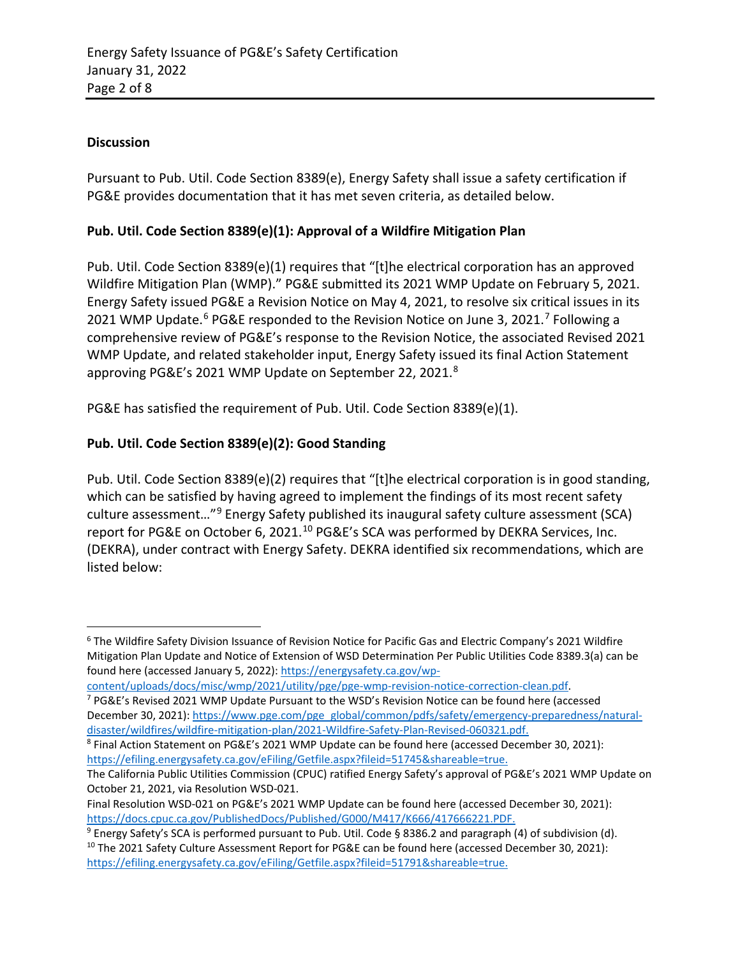### **Discussion**

Pursuant to Pub. Util. Code Section 8389(e), Energy Safety shall issue a safety certification if PG&E provides documentation that it has met seven criteria, as detailed below.

#### **Pub. Util. Code Section 8389(e)(1): Approval of a Wildfire Mitigation Plan**

Pub. Util. Code Section 8389(e)(1) requires that "[t]he electrical corporation has an approved Wildfire Mitigation Plan (WMP)." PG&E submitted its 2021 WMP Update on February 5, 2021. Energy Safety issued PG&E a Revision Notice on May 4, 2021, to resolve six critical issues in its 2021 WMP Update.<sup>[6](#page-1-0)</sup> PG&E responded to the Revision Notice on June 3, 2021.<sup>[7](#page-1-1)</sup> Following a comprehensive review of PG&E's response to the Revision Notice, the associated Revised 2021 WMP Update, and related stakeholder input, Energy Safety issued its final Action Statement approving PG&E's 2021 WMP Update on September 22, 2021.[8](#page-1-2)

PG&E has satisfied the requirement of Pub. Util. Code Section 8389(e)(1).

### **Pub. Util. Code Section 8389(e)(2): Good Standing**

Pub. Util. Code Section 8389(e)(2) requires that "[t]he electrical corporation is in good standing, which can be satisfied by having agreed to implement the findings of its most recent safety culture assessment…"[9](#page-1-3) Energy Safety published its inaugural safety culture assessment (SCA) report for PG&E on October 6, 2021.<sup>[10](#page-1-4)</sup> PG&E's SCA was performed by DEKRA Services, Inc. (DEKRA), under contract with Energy Safety. DEKRA identified six recommendations, which are listed below:

<span id="page-1-0"></span><sup>6</sup> The Wildfire Safety Division Issuance of Revision Notice for Pacific Gas and Electric Company's 2021 Wildfire Mitigation Plan Update and Notice of Extension of WSD Determination Per Public Utilities Code 8389.3(a) can be found here (accessed January 5, 2022)[: https://energysafety.ca.gov/wp-](https://energysafety.ca.gov/wp-content/uploads/docs/misc/wmp/2021/utility/pge/pge-wmp-revision-notice-correction-clean.pdf)

[content/uploads/docs/misc/wmp/2021/utility/pge/pge-wmp-revision-notice-correction-clean.pdf.](https://energysafety.ca.gov/wp-content/uploads/docs/misc/wmp/2021/utility/pge/pge-wmp-revision-notice-correction-clean.pdf)  $7$  PG&E's Revised 2021 WMP Update Pursuant to the WSD's Revision Notice can be found here (accessed

<span id="page-1-1"></span>December 30, 2021)[: https://www.pge.com/pge\\_global/common/pdfs/safety/emergency-preparedness/natural](https://www.pge.com/pge_global/common/pdfs/safety/emergency-preparedness/natural-disaster/wildfires/wildfire-mitigation-plan/2021-Wildfire-Safety-Plan-Revised-060321.pdf)[disaster/wildfires/wildfire-mitigation-plan/2021-Wildfire-Safety-Plan-Revised-060321.pdf.](https://www.pge.com/pge_global/common/pdfs/safety/emergency-preparedness/natural-disaster/wildfires/wildfire-mitigation-plan/2021-Wildfire-Safety-Plan-Revised-060321.pdf)

<span id="page-1-2"></span><sup>8</sup> Final Action Statement on PG&E's 2021 WMP Update can be found here (accessed December 30, 2021): [https://efiling.energysafety.ca.gov/eFiling/Getfile.aspx?fileid=51745&shareable=true.](https://efiling.energysafety.ca.gov/eFiling/Getfile.aspx?fileid=51745&shareable=true)

The California Public Utilities Commission (CPUC) ratified Energy Safety's approval of PG&E's 2021 WMP Update on October 21, 2021, via Resolution WSD-021.

Final Resolution WSD-021 on PG&E's 2021 WMP Update can be found here (accessed December 30, 2021): [https://docs.cpuc.ca.gov/PublishedDocs/Published/G000/M417/K666/417666221.PDF.](https://docs.cpuc.ca.gov/PublishedDocs/Published/G000/M417/K666/417666221.PDF)

<span id="page-1-4"></span><span id="page-1-3"></span><sup>9</sup> Energy Safety's SCA is performed pursuant to Pub. Util. Code § 8386.2 and paragraph (4) of subdivision (d). <sup>10</sup> The 2021 Safety Culture Assessment Report for PG&E can be found here (accessed December 30, 2021): [https://efiling.energysafety.ca.gov/eFiling/Getfile.aspx?fileid=51791&shareable=true.](https://efiling.energysafety.ca.gov/eFiling/Getfile.aspx?fileid=51791&shareable=true)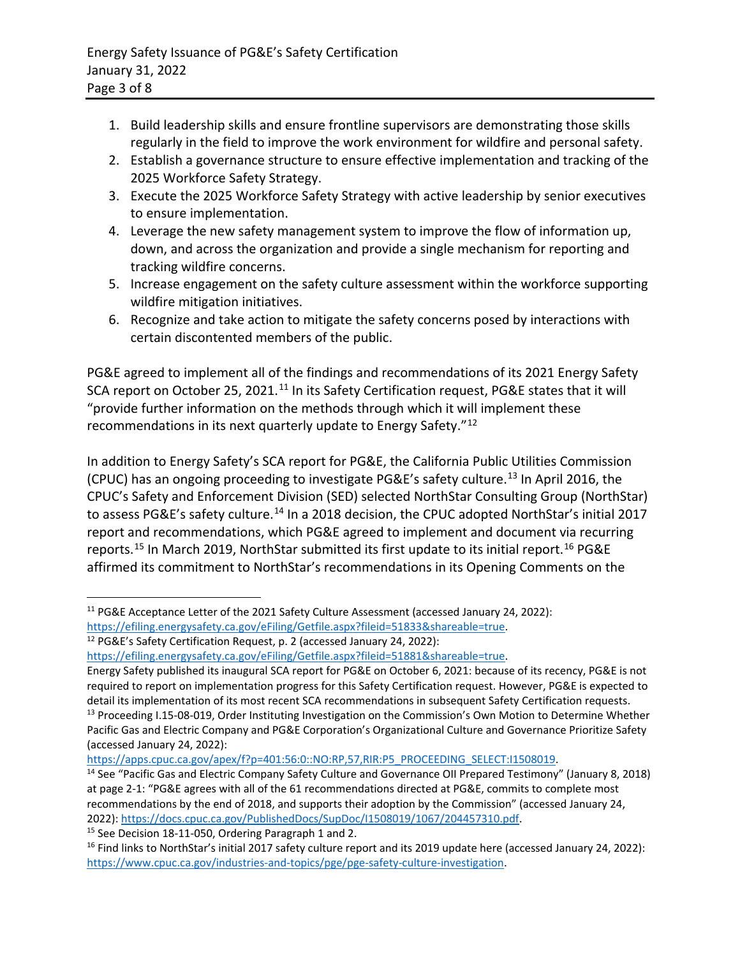- 1. Build leadership skills and ensure frontline supervisors are demonstrating those skills regularly in the field to improve the work environment for wildfire and personal safety.
- 2. Establish a governance structure to ensure effective implementation and tracking of the 2025 Workforce Safety Strategy.
- 3. Execute the 2025 Workforce Safety Strategy with active leadership by senior executives to ensure implementation.
- 4. Leverage the new safety management system to improve the flow of information up, down, and across the organization and provide a single mechanism for reporting and tracking wildfire concerns.
- 5. Increase engagement on the safety culture assessment within the workforce supporting wildfire mitigation initiatives.
- 6. Recognize and take action to mitigate the safety concerns posed by interactions with certain discontented members of the public.

PG&E agreed to implement all of the findings and recommendations of its 2021 Energy Safety SCA report on October 25, 2021.<sup>[11](#page-2-0)</sup> In its Safety Certification request, PG&E states that it will "provide further information on the methods through which it will implement these recommendations in its next quarterly update to Energy Safety."[12](#page-2-1)

In addition to Energy Safety's SCA report for PG&E, the California Public Utilities Commission (CPUC) has an ongoing proceeding to investigate PG&E's safety culture.[13](#page-2-2) In April 2016, the CPUC's Safety and Enforcement Division (SED) selected NorthStar Consulting Group (NorthStar) to assess PG&E's safety culture.<sup>[14](#page-2-3)</sup> In a 2018 decision, the CPUC adopted NorthStar's initial 2017 report and recommendations, which PG&E agreed to implement and document via recurring reports.<sup>[15](#page-2-4)</sup> In March 2019, NorthStar submitted its first update to its initial report.<sup>[16](#page-2-5)</sup> PG&E affirmed its commitment to NorthStar's recommendations in its Opening Comments on the

<span id="page-2-4"></span><sup>15</sup> See Decision 18-11-050, Ordering Paragraph 1 and 2.

<span id="page-2-0"></span><sup>&</sup>lt;sup>11</sup> PG&E Acceptance Letter of the 2021 Safety Culture Assessment (accessed January 24, 2022): [https://efiling.energysafety.ca.gov/eFiling/Getfile.aspx?fileid=51833&shareable=true.](https://efiling.energysafety.ca.gov/eFiling/Getfile.aspx?fileid=51833&shareable=true) <sup>12</sup> PG&E's Safety Certification Request, p. 2 (accessed January 24, 2022):

<span id="page-2-1"></span>[https://efiling.energysafety.ca.gov/eFiling/Getfile.aspx?fileid=51881&shareable=true.](https://efiling.energysafety.ca.gov/eFiling/Getfile.aspx?fileid=51881&shareable=true)

<span id="page-2-2"></span>Energy Safety published its inaugural SCA report for PG&E on October 6, 2021: because of its recency, PG&E is not required to report on implementation progress for this Safety Certification request. However, PG&E is expected to detail its implementation of its most recent SCA recommendations in subsequent Safety Certification requests. <sup>13</sup> Proceeding I.15-08-019, Order Instituting Investigation on the Commission's Own Motion to Determine Whether Pacific Gas and Electric Company and PG&E Corporation's Organizational Culture and Governance Prioritize Safety (accessed January 24, 2022):

[https://apps.cpuc.ca.gov/apex/f?p=401:56:0::NO:RP,57,RIR:P5\\_PROCEEDING\\_SELECT:I1508019.](https://apps.cpuc.ca.gov/apex/f?p=401:56:0::NO:RP,57,RIR:P5_PROCEEDING_SELECT:I1508019)

<span id="page-2-3"></span><sup>&</sup>lt;sup>14</sup> See "Pacific Gas and Electric Company Safety Culture and Governance OII Prepared Testimony" (January 8, 2018) at page 2-1: "PG&E agrees with all of the 61 recommendations directed at PG&E, commits to complete most recommendations by the end of 2018, and supports their adoption by the Commission" (accessed January 24, 2022)[: https://docs.cpuc.ca.gov/PublishedDocs/SupDoc/I1508019/1067/204457310.pdf.](https://docs.cpuc.ca.gov/PublishedDocs/SupDoc/I1508019/1067/204457310.pdf)

<span id="page-2-5"></span> $16$  Find links to NorthStar's initial 2017 safety culture report and its 2019 update here (accessed January 24, 2022): [https://www.cpuc.ca.gov/industries-and-topics/pge/pge-safety-culture-investigation.](https://www.cpuc.ca.gov/industries-and-topics/pge/pge-safety-culture-investigation)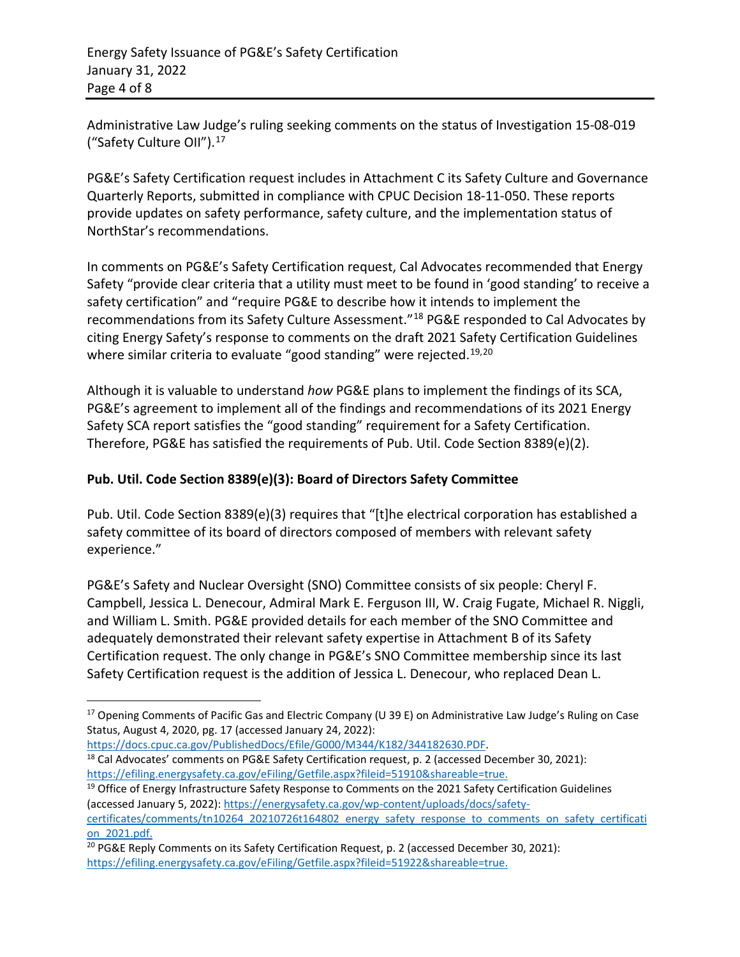Administrative Law Judge's ruling seeking comments on the status of Investigation 15-08-019 ("Safety Culture OII"). [17](#page-3-0)

PG&E's Safety Certification request includes in Attachment C its Safety Culture and Governance Quarterly Reports, submitted in compliance with CPUC Decision 18-11-050. These reports provide updates on safety performance, safety culture, and the implementation status of NorthStar's recommendations.

In comments on PG&E's Safety Certification request, Cal Advocates recommended that Energy Safety "provide clear criteria that a utility must meet to be found in 'good standing' to receive a safety certification" and "require PG&E to describe how it intends to implement the recommendations from its Safety Culture Assessment."[18](#page-3-1) PG&E responded to Cal Advocates by citing Energy Safety's response to comments on the draft 2021 Safety Certification Guidelines where similar criteria to evaluate "good standing" were rejected.<sup>[19](#page-3-2),[20](#page-3-3)</sup>

Although it is valuable to understand *how* PG&E plans to implement the findings of its SCA, PG&E's agreement to implement all of the findings and recommendations of its 2021 Energy Safety SCA report satisfies the "good standing" requirement for a Safety Certification. Therefore, PG&E has satisfied the requirements of Pub. Util. Code Section 8389(e)(2).

# **Pub. Util. Code Section 8389(e)(3): Board of Directors Safety Committee**

Pub. Util. Code Section 8389(e)(3) requires that "[t]he electrical corporation has established a safety committee of its board of directors composed of members with relevant safety experience."

PG&E's Safety and Nuclear Oversight (SNO) Committee consists of six people: Cheryl F. Campbell, Jessica L. Denecour, Admiral Mark E. Ferguson III, W. Craig Fugate, Michael R. Niggli, and William L. Smith. PG&E provided details for each member of the SNO Committee and adequately demonstrated their relevant safety expertise in Attachment B of its Safety Certification request. The only change in PG&E's SNO Committee membership since its last Safety Certification request is the addition of Jessica L. Denecour, who replaced Dean L.

<span id="page-3-1"></span>[https://docs.cpuc.ca.gov/PublishedDocs/Efile/G000/M344/K182/344182630.PDF.](https://docs.cpuc.ca.gov/PublishedDocs/Efile/G000/M344/K182/344182630.PDF) <sup>18</sup> Cal Advocates' comments on PG&E Safety Certification request, p. 2 (accessed December 30, 2021): [https://efiling.energysafety.ca.gov/eFiling/Getfile.aspx?fileid=51910&shareable=true.](https://efiling.energysafety.ca.gov/eFiling/Getfile.aspx?fileid=51910&shareable=true)

<span id="page-3-2"></span><sup>19</sup> Office of Energy Infrastructure Safety Response to Comments on the 2021 Safety Certification Guidelines (accessed January 5, 2022): [https://energysafety.ca.gov/wp-content/uploads/docs/safety](https://energysafety.ca.gov/wp-content/uploads/docs/safety-certificates/comments/tn10264_20210726t164802_energy_safety_response_to_comments_on_safety_certification_2021.pdf)[certificates/comments/tn10264\\_20210726t164802\\_energy\\_safety\\_response\\_to\\_comments\\_on\\_safety\\_certificati](https://energysafety.ca.gov/wp-content/uploads/docs/safety-certificates/comments/tn10264_20210726t164802_energy_safety_response_to_comments_on_safety_certification_2021.pdf) [on\\_2021.pdf.](https://energysafety.ca.gov/wp-content/uploads/docs/safety-certificates/comments/tn10264_20210726t164802_energy_safety_response_to_comments_on_safety_certification_2021.pdf)

<span id="page-3-0"></span><sup>&</sup>lt;sup>17</sup> Opening Comments of Pacific Gas and Electric Company (U 39 E) on Administrative Law Judge's Ruling on Case Status, August 4, 2020, pg. 17 (accessed January 24, 2022):

<span id="page-3-3"></span><sup>&</sup>lt;sup>20</sup> PG&E Reply Comments on its Safety Certification Request, p. 2 (accessed December 30, 2021): [https://efiling.energysafety.ca.gov/eFiling/Getfile.aspx?fileid=51922&shareable=true.](https://efiling.energysafety.ca.gov/eFiling/Getfile.aspx?fileid=51922&shareable=true)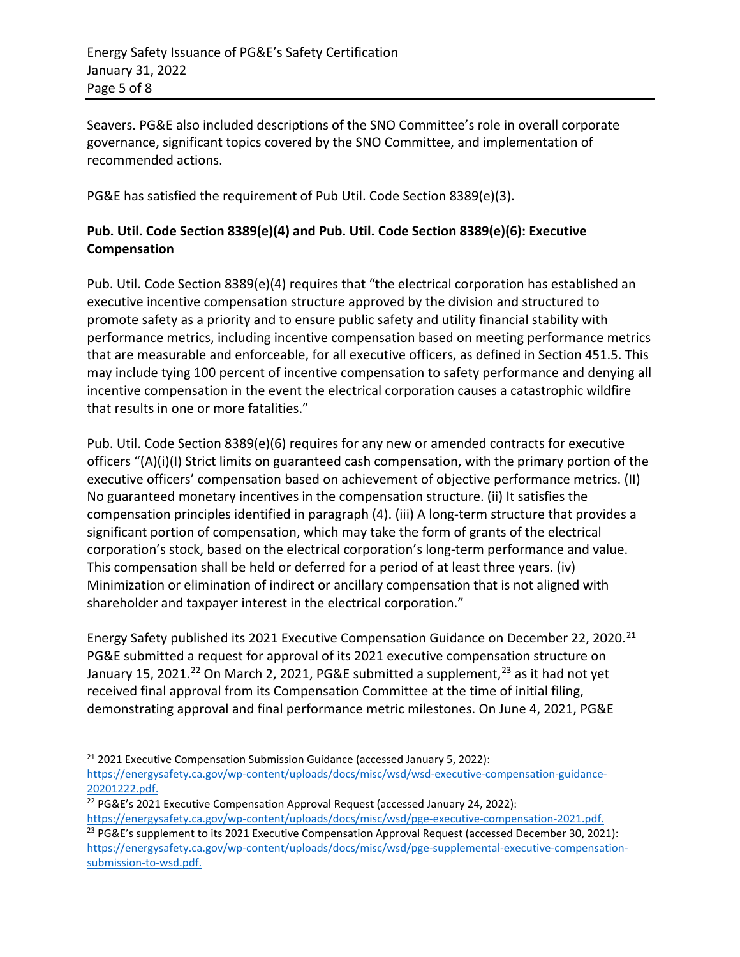Seavers. PG&E also included descriptions of the SNO Committee's role in overall corporate governance, significant topics covered by the SNO Committee, and implementation of recommended actions.

PG&E has satisfied the requirement of Pub Util. Code Section 8389(e)(3).

# **Pub. Util. Code Section 8389(e)(4) and Pub. Util. Code Section 8389(e)(6): Executive Compensation**

Pub. Util. Code Section 8389(e)(4) requires that "the electrical corporation has established an executive incentive compensation structure approved by the division and structured to promote safety as a priority and to ensure public safety and utility financial stability with performance metrics, including incentive compensation based on meeting performance metrics that are measurable and enforceable, for all executive officers, as defined in Section 451.5. This may include tying 100 percent of incentive compensation to safety performance and denying all incentive compensation in the event the electrical corporation causes a catastrophic wildfire that results in one or more fatalities."

Pub. Util. Code Section 8389(e)(6) requires for any new or amended contracts for executive officers "(A)(i)(I) Strict limits on guaranteed cash compensation, with the primary portion of the executive officers' compensation based on achievement of objective performance metrics. (II) No guaranteed monetary incentives in the compensation structure. (ii) It satisfies the compensation principles identified in paragraph (4). (iii) A long-term structure that provides a significant portion of compensation, which may take the form of grants of the electrical corporation's stock, based on the electrical corporation's long-term performance and value. This compensation shall be held or deferred for a period of at least three years. (iv) Minimization or elimination of indirect or ancillary compensation that is not aligned with shareholder and taxpayer interest in the electrical corporation."

Energy Safety published its 20[21](#page-4-0) Executive Compensation Guidance on December 22, 2020.<sup>21</sup> PG&E submitted a request for approval of its 2021 executive compensation structure on January 15, 2021.<sup>[22](#page-4-1)</sup> On March 2, 2021, PG&E submitted a supplement,<sup>[23](#page-4-2)</sup> as it had not yet received final approval from its Compensation Committee at the time of initial filing, demonstrating approval and final performance metric milestones. On June 4, 2021, PG&E

<span id="page-4-0"></span> $21$  2021 Executive Compensation Submission Guidance (accessed January 5, 2022): [https://energysafety.ca.gov/wp-content/uploads/docs/misc/wsd/wsd-executive-compensation-guidance-](https://energysafety.ca.gov/wp-content/uploads/docs/misc/wsd/wsd-executive-compensation-guidance-20201222.pdf)[20201222.pdf.](https://energysafety.ca.gov/wp-content/uploads/docs/misc/wsd/wsd-executive-compensation-guidance-20201222.pdf)

<span id="page-4-1"></span><sup>&</sup>lt;sup>22</sup> PG&E's 2021 Executive Compensation Approval Request (accessed January 24, 2022):

<span id="page-4-2"></span>[https://energysafety.ca.gov/wp-content/uploads/docs/misc/wsd/pge-executive-compensation-2021.pdf.](https://energysafety.ca.gov/wp-content/uploads/docs/misc/wsd/pge-executive-compensation-2021.pdf) <sup>23</sup> PG&E's supplement to its 2021 Executive Compensation Approval Request (accessed December 30, 2021): [https://energysafety.ca.gov/wp-content/uploads/docs/misc/wsd/pge-supplemental-executive-compensation](https://energysafety.ca.gov/wp-content/uploads/docs/misc/wsd/pge-supplemental-executive-compensation-submission-to-wsd.pdf)[submission-to-wsd.pdf.](https://energysafety.ca.gov/wp-content/uploads/docs/misc/wsd/pge-supplemental-executive-compensation-submission-to-wsd.pdf)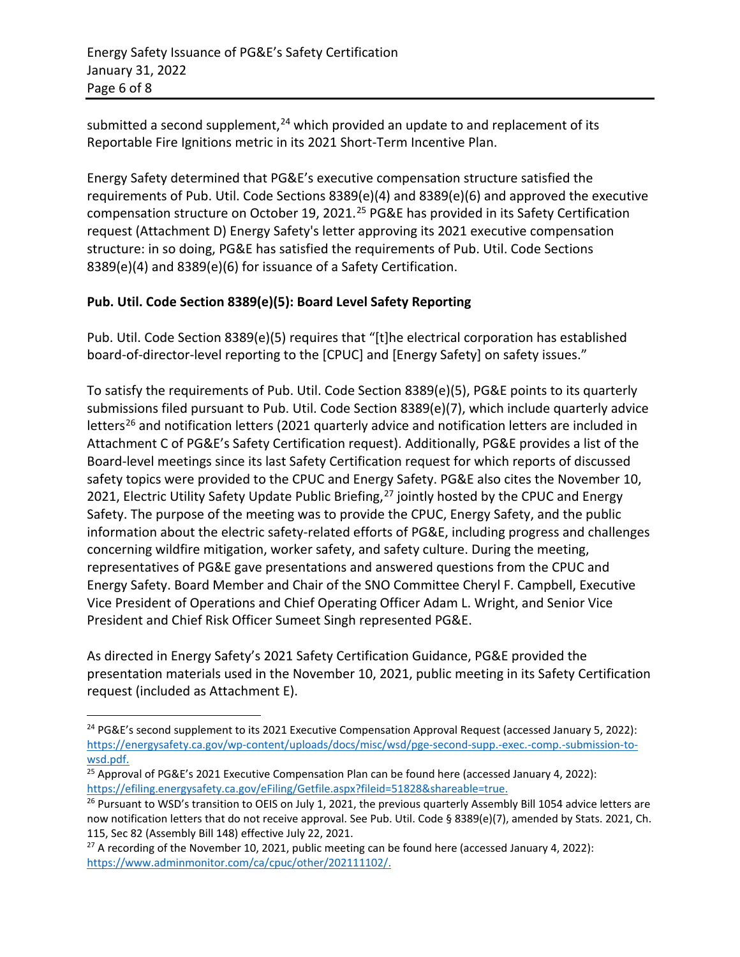submitted a second supplement,<sup>[24](#page-5-0)</sup> which provided an update to and replacement of its Reportable Fire Ignitions metric in its 2021 Short-Term Incentive Plan.

Energy Safety determined that PG&E's executive compensation structure satisfied the requirements of Pub. Util. Code Sections 8389(e)(4) and 8389(e)(6) and approved the executive compensation structure on October 19, 2021.<sup>[25](#page-5-1)</sup> PG&E has provided in its Safety Certification request (Attachment D) Energy Safety's letter approving its 2021 executive compensation structure: in so doing, PG&E has satisfied the requirements of Pub. Util. Code Sections 8389(e)(4) and 8389(e)(6) for issuance of a Safety Certification.

# **Pub. Util. Code Section 8389(e)(5): Board Level Safety Reporting**

Pub. Util. Code Section 8389(e)(5) requires that "[t]he electrical corporation has established board-of-director-level reporting to the [CPUC] and [Energy Safety] on safety issues."

To satisfy the requirements of Pub. Util. Code Section 8389(e)(5), PG&E points to its quarterly submissions filed pursuant to Pub. Util. Code Section 8389(e)(7), which include quarterly advice letters<sup>[26](#page-5-2)</sup> and notification letters (2021 quarterly advice and notification letters are included in Attachment C of PG&E's Safety Certification request). Additionally, PG&E provides a list of the Board-level meetings since its last Safety Certification request for which reports of discussed safety topics were provided to the CPUC and Energy Safety. PG&E also cites the November 10, 2021, Electric Utility Safety Update Public Briefing,<sup>[27](#page-5-3)</sup> jointly hosted by the CPUC and Energy Safety. The purpose of the meeting was to provide the CPUC, Energy Safety, and the public information about the electric safety-related efforts of PG&E, including progress and challenges concerning wildfire mitigation, worker safety, and safety culture. During the meeting, representatives of PG&E gave presentations and answered questions from the CPUC and Energy Safety. Board Member and Chair of the SNO Committee Cheryl F. Campbell, Executive Vice President of Operations and Chief Operating Officer Adam L. Wright, and Senior Vice President and Chief Risk Officer Sumeet Singh represented PG&E.

As directed in Energy Safety's 2021 Safety Certification Guidance, PG&E provided the presentation materials used in the November 10, 2021, public meeting in its Safety Certification request (included as Attachment E).

<span id="page-5-0"></span><sup>&</sup>lt;sup>24</sup> PG&E's second supplement to its 2021 Executive Compensation Approval Request (accessed January 5, 2022): [https://energysafety.ca.gov/wp-content/uploads/docs/misc/wsd/pge-second-supp.-exec.-comp.-submission-to](https://energysafety.ca.gov/wp-content/uploads/docs/misc/wsd/pge-second-supp.-exec.-comp.-submission-to-wsd.pdf)[wsd.pdf.](https://energysafety.ca.gov/wp-content/uploads/docs/misc/wsd/pge-second-supp.-exec.-comp.-submission-to-wsd.pdf)

<span id="page-5-1"></span><sup>&</sup>lt;sup>25</sup> Approval of PG&E's 2021 Executive Compensation Plan can be found here (accessed January 4, 2022): [https://efiling.energysafety.ca.gov/eFiling/Getfile.aspx?fileid=51828&shareable=true.](https://efiling.energysafety.ca.gov/eFiling/Getfile.aspx?fileid=51828&shareable=true)

<span id="page-5-2"></span> $26$  Pursuant to WSD's transition to OEIS on July 1, 2021, the previous quarterly Assembly Bill 1054 advice letters are now notification letters that do not receive approval. See Pub. Util. Code § 8389(e)(7), amended by Stats. 2021, Ch. 115, Sec 82 (Assembly Bill 148) effective July 22, 2021.

<span id="page-5-3"></span> $27$  A recording of the November 10, 2021, public meeting can be found here (accessed January 4, 2022): [https://www.adminmonitor.com/ca/cpuc/other/202111102/.](https://www.adminmonitor.com/ca/cpuc/other/202111102/)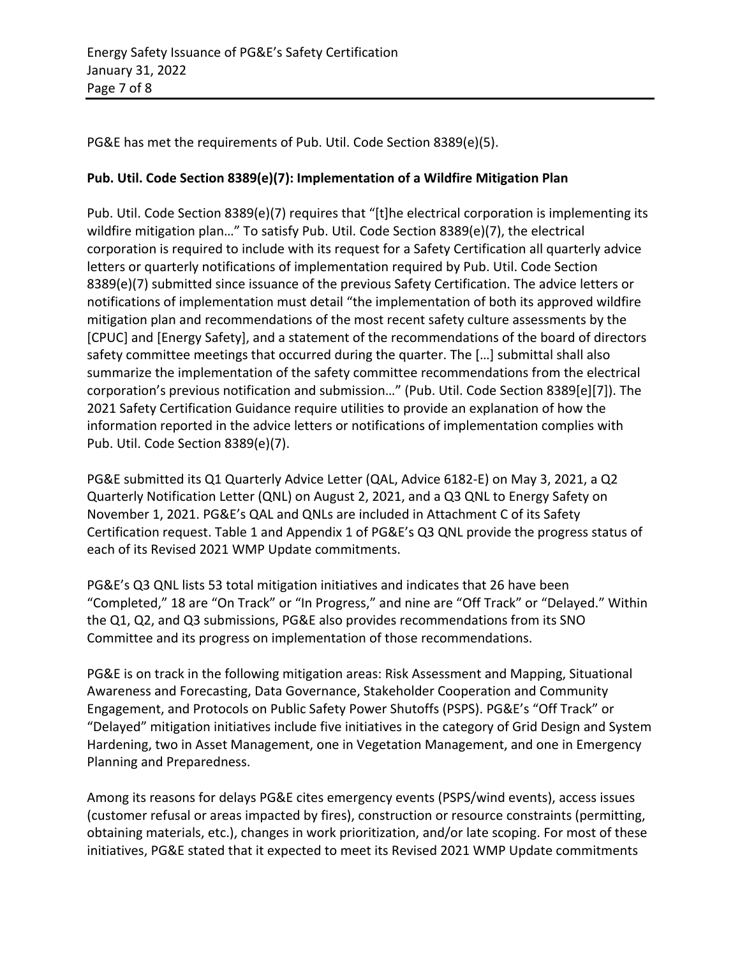PG&E has met the requirements of Pub. Util. Code Section 8389(e)(5).

# **Pub. Util. Code Section 8389(e)(7): Implementation of a Wildfire Mitigation Plan**

Pub. Util. Code Section 8389(e)(7) requires that "[t]he electrical corporation is implementing its wildfire mitigation plan…" To satisfy Pub. Util. Code Section 8389(e)(7), the electrical corporation is required to include with its request for a Safety Certification all quarterly advice letters or quarterly notifications of implementation required by Pub. Util. Code Section 8389(e)(7) submitted since issuance of the previous Safety Certification. The advice letters or notifications of implementation must detail "the implementation of both its approved wildfire mitigation plan and recommendations of the most recent safety culture assessments by the [CPUC] and [Energy Safety], and a statement of the recommendations of the board of directors safety committee meetings that occurred during the quarter. The […] submittal shall also summarize the implementation of the safety committee recommendations from the electrical corporation's previous notification and submission…" (Pub. Util. Code Section 8389[e][7]). The 2021 Safety Certification Guidance require utilities to provide an explanation of how the information reported in the advice letters or notifications of implementation complies with Pub. Util. Code Section 8389(e)(7).

PG&E submitted its Q1 Quarterly Advice Letter (QAL, Advice 6182-E) on May 3, 2021, a Q2 Quarterly Notification Letter (QNL) on August 2, 2021, and a Q3 QNL to Energy Safety on November 1, 2021. PG&E's QAL and QNLs are included in Attachment C of its Safety Certification request. Table 1 and Appendix 1 of PG&E's Q3 QNL provide the progress status of each of its Revised 2021 WMP Update commitments.

PG&E's Q3 QNL lists 53 total mitigation initiatives and indicates that 26 have been "Completed," 18 are "On Track" or "In Progress," and nine are "Off Track" or "Delayed." Within the Q1, Q2, and Q3 submissions, PG&E also provides recommendations from its SNO Committee and its progress on implementation of those recommendations.

PG&E is on track in the following mitigation areas: Risk Assessment and Mapping, Situational Awareness and Forecasting, Data Governance, Stakeholder Cooperation and Community Engagement, and Protocols on Public Safety Power Shutoffs (PSPS). PG&E's "Off Track" or "Delayed" mitigation initiatives include five initiatives in the category of Grid Design and System Hardening, two in Asset Management, one in Vegetation Management, and one in Emergency Planning and Preparedness.

Among its reasons for delays PG&E cites emergency events (PSPS/wind events), access issues (customer refusal or areas impacted by fires), construction or resource constraints (permitting, obtaining materials, etc.), changes in work prioritization, and/or late scoping. For most of these initiatives, PG&E stated that it expected to meet its Revised 2021 WMP Update commitments